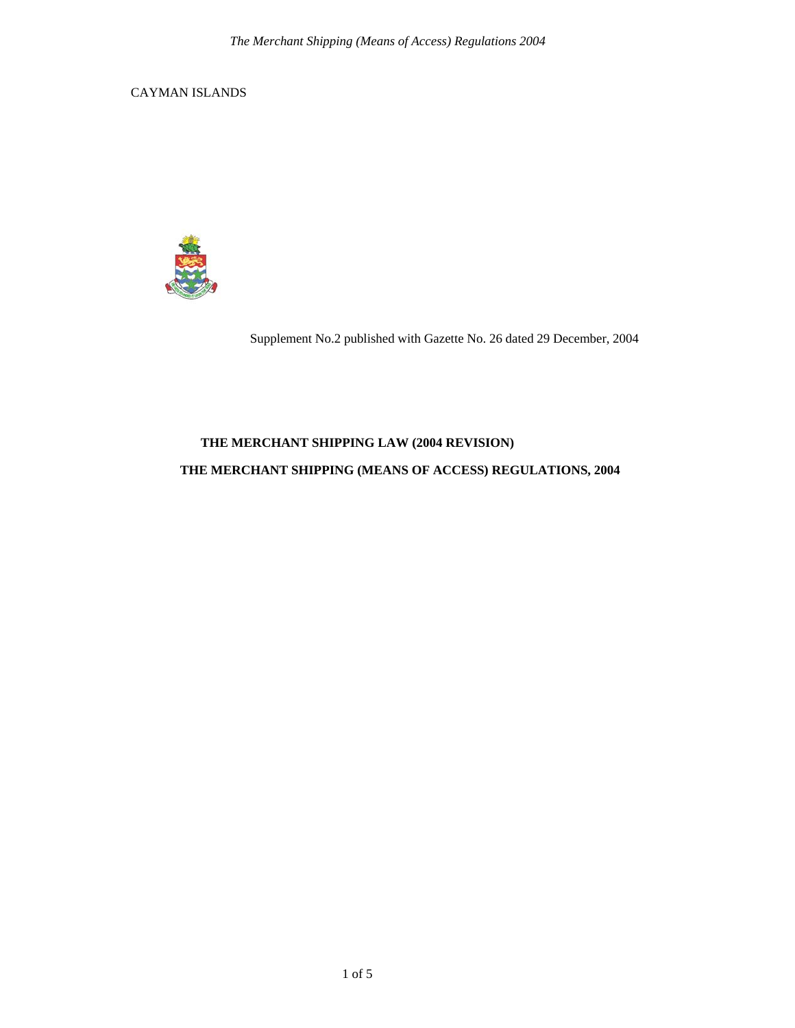CAYMAN ISLANDS



Supplement No.2 published with Gazette No. 26 dated 29 December, 2004

## **THE MERCHANT SHIPPING LAW (2004 REVISION)**

## **THE MERCHANT SHIPPING (MEANS OF ACCESS) REGULATIONS, 2004**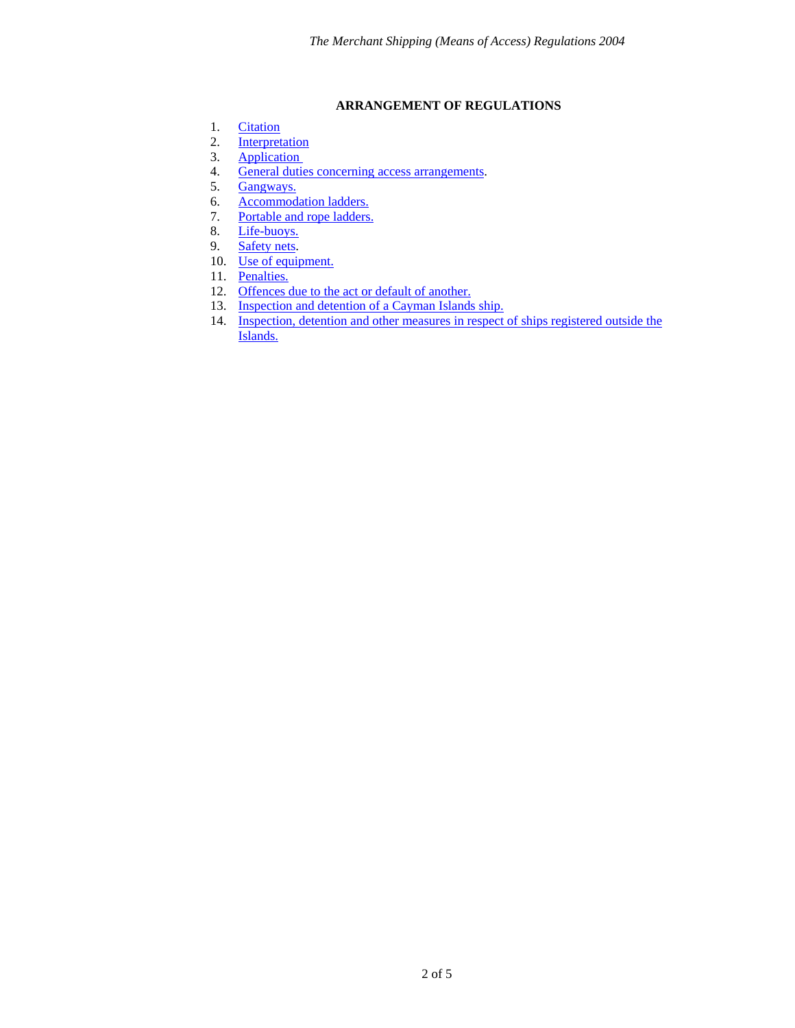## **ARRANGEMENT OF REGULATIONS**

- <span id="page-1-0"></span>1. [Citation](#page-2-0)
- 2. [Interpretation](#page-2-1)<br>3. Application
- 3. Application<br>4. General duties
- 4. [General duties concerning access arrangements.](#page-2-3)<br>5. Gangways.
- [Gangways.](#page-2-4)
- 6. [Accommodation ladders.](#page-3-0)
- 7. [Portable and rope ladders.](#page-3-1)
- 8. [Life-buoys.](#page-3-2)
- 9. [Safety nets.](#page-3-3)
- 10. [Use of equipment.](#page-3-4)
- 11. [Penalties.](#page-3-5)
- 12. [Offences due to the act or default of another.](#page-3-6)
- 13. [Inspection and detention of a Cayman Islands ship.](#page-3-7)
- 14. [Inspection, detention and other measures in](#page-4-0) respect of ships registered outside the [Islands.](#page-4-0)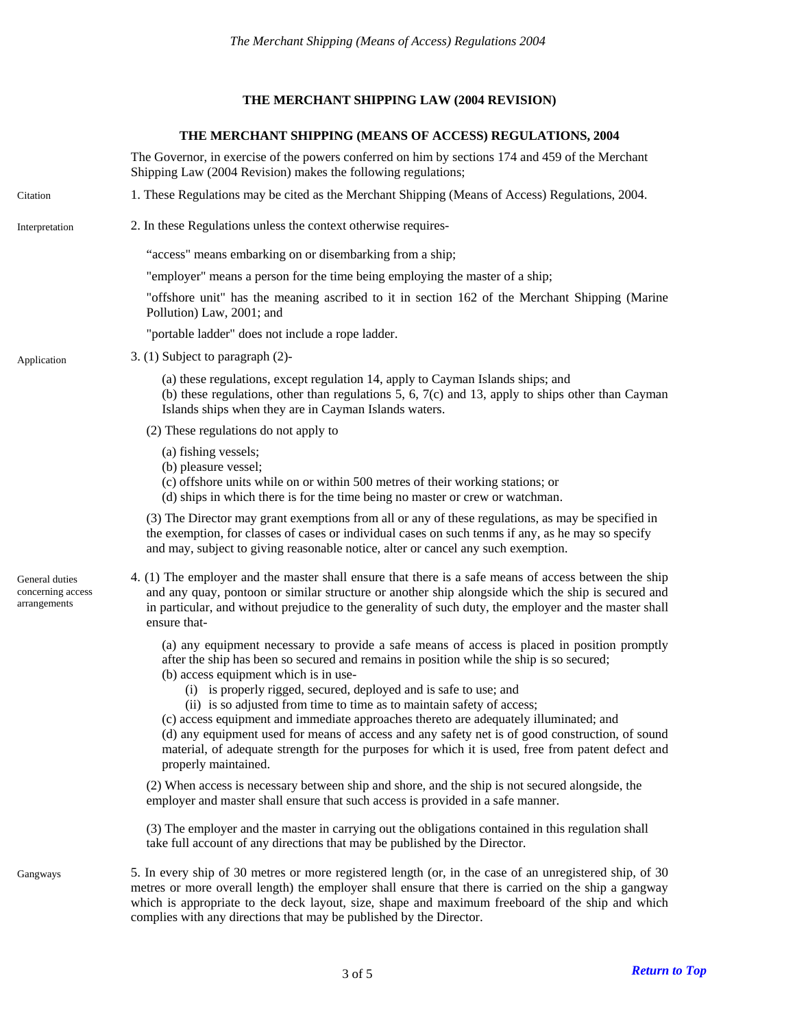### **THE MERCHANT SHIPPING LAW (2004 REVISION)**

#### **THE MERCHANT SHIPPING (MEANS OF ACCESS) REGULATIONS, 2004**

<span id="page-2-2"></span><span id="page-2-1"></span><span id="page-2-0"></span>The Governor, in exercise of the powers conferred on him by sections 174 and 459 of the Merchant Shipping Law (2004 Revision) makes the following regulations; Citation 1. These Regulations may be cited as the Merchant Shipping (Means of Access) Regulations, 2004. Interpretation 2. In these Regulations unless the context otherwise requires- "access" means embarking on or disembarking from a ship; "employer" means a person for the time being employing the master of a ship; "offshore unit" has the meaning ascribed to it in section 162 of the Merchant Shipping (Marine Pollution) Law, 2001; and "portable ladder" does not include a rope ladder. Application 3. (1) Subject to paragraph (2)-(a) these regulations, except regulation 14, apply to Cayman Islands ships; and (b) these regulations, other than regulations 5, 6,  $7(c)$  and 13, apply to ships other than Cayman Islands ships when they are in Cayman Islands waters. (2) These regulations do not apply to (a) fishing vessels; (b) pleasure vessel; (c) offshore units while on or within 500 metres of their working stations; or (d) ships in which there is for the time being no master or crew or watchman. (3) The Director may grant exemptions from all or any of these regulations, as may be specified in the exemption, for classes of cases or individual cases on such tenms if any, as he may so specify and may, subject to giving reasonable notice, alter or cancel any such exemption. 4. (1) The employer and the master shall ensure that there is a safe means of access between the ship and any quay, pontoon or similar structure or another ship alongside which the ship is secured and in particular, and without prejudice to the generality of such duty, the employer and the master shall ensure that-General duties concerning access arrangements (a) any equipment necessary to provide a safe means of access is placed in position promptly after the ship has been so secured and remains in position while the ship is so secured; (b) access equipment which is in use- (i) is properly rigged, secured, deployed and is safe to use; and (ii) is so adjusted from time to time as to maintain safety of access; (c) access equipment and immediate approaches thereto are adequately illuminated; and (d) any equipment used for means of access and any safety net is of good construction, of sound material, of adequate strength for the purposes for which it is used, free from patent defect and properly maintained. (2) When access is necessary between ship and shore, and the ship is not secured alongside, the employer and master shall ensure that such access is provided in a safe manner. (3) The employer and the master in carrying out the obligations contained in this regulation shall take full account of any directions that may be published by the Director. 5. In every ship of 30 metres or more registered length (or, in the case of an unregistered ship, of 30 metres or more overall length) the employer shall ensure that there is carried on the ship a gangway which is appropriate to the deck layout, size, shape and maximum freeboard of the ship and which Gangways

<span id="page-2-4"></span><span id="page-2-3"></span>complies with any directions that may be published by the Director.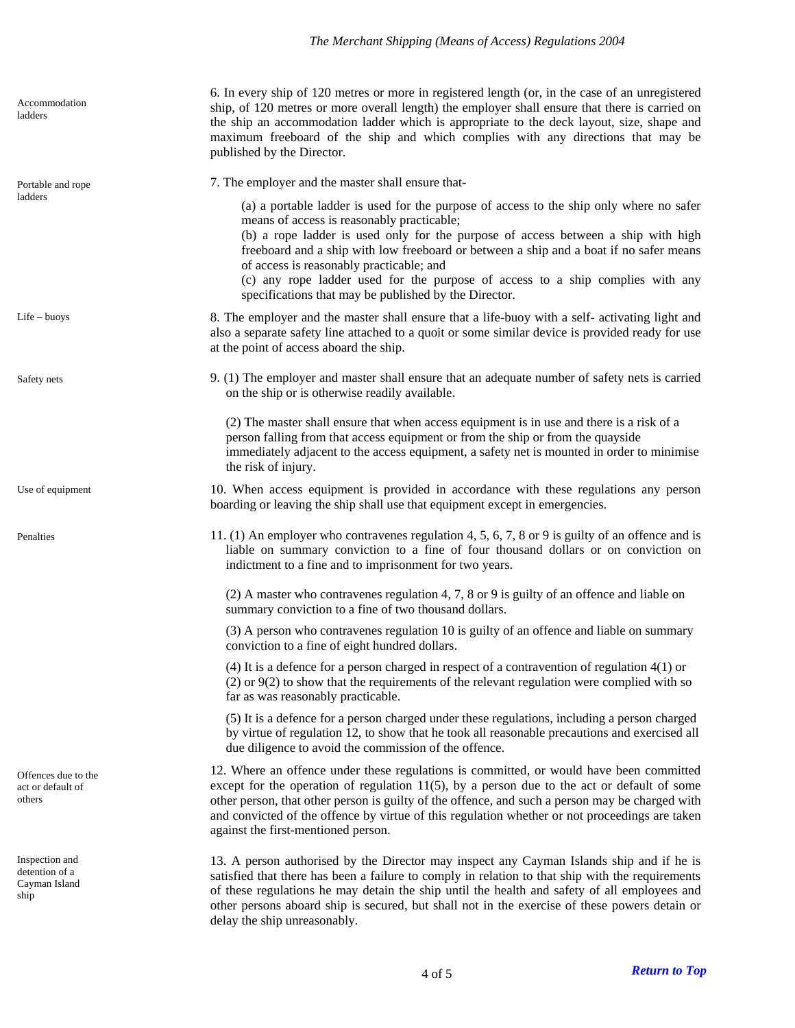# *The Merchant Shipping (Means of Access) Regulations 2004*

<span id="page-3-7"></span><span id="page-3-6"></span><span id="page-3-5"></span><span id="page-3-4"></span><span id="page-3-3"></span><span id="page-3-2"></span><span id="page-3-1"></span><span id="page-3-0"></span>

| Accommodation<br>ladders                                  | 6. In every ship of 120 metres or more in registered length (or, in the case of an unregistered<br>ship, of 120 metres or more overall length) the employer shall ensure that there is carried on<br>the ship an accommodation ladder which is appropriate to the deck layout, size, shape and<br>maximum freeboard of the ship and which complies with any directions that may be<br>published by the Director.                                                                                            |
|-----------------------------------------------------------|-------------------------------------------------------------------------------------------------------------------------------------------------------------------------------------------------------------------------------------------------------------------------------------------------------------------------------------------------------------------------------------------------------------------------------------------------------------------------------------------------------------|
| Portable and rope<br>ladders                              | 7. The employer and the master shall ensure that-                                                                                                                                                                                                                                                                                                                                                                                                                                                           |
|                                                           | (a) a portable ladder is used for the purpose of access to the ship only where no safer<br>means of access is reasonably practicable;<br>(b) a rope ladder is used only for the purpose of access between a ship with high<br>freeboard and a ship with low freeboard or between a ship and a boat if no safer means<br>of access is reasonably practicable; and<br>(c) any rope ladder used for the purpose of access to a ship complies with any<br>specifications that may be published by the Director. |
| $Life - buoys$                                            | 8. The employer and the master shall ensure that a life-buoy with a self-activating light and<br>also a separate safety line attached to a quoit or some similar device is provided ready for use<br>at the point of access aboard the ship.                                                                                                                                                                                                                                                                |
| Safety nets                                               | 9. (1) The employer and master shall ensure that an adequate number of safety nets is carried<br>on the ship or is otherwise readily available.                                                                                                                                                                                                                                                                                                                                                             |
|                                                           | (2) The master shall ensure that when access equipment is in use and there is a risk of a<br>person falling from that access equipment or from the ship or from the quayside<br>immediately adjacent to the access equipment, a safety net is mounted in order to minimise<br>the risk of injury.                                                                                                                                                                                                           |
| Use of equipment                                          | 10. When access equipment is provided in accordance with these regulations any person<br>boarding or leaving the ship shall use that equipment except in emergencies.                                                                                                                                                                                                                                                                                                                                       |
| Penalties                                                 | 11. (1) An employer who contravenes regulation 4, 5, 6, 7, 8 or 9 is guilty of an offence and is<br>liable on summary conviction to a fine of four thousand dollars or on conviction on<br>indictment to a fine and to imprisonment for two years.                                                                                                                                                                                                                                                          |
|                                                           | $(2)$ A master who contravenes regulation 4, 7, 8 or 9 is guilty of an offence and liable on<br>summary conviction to a fine of two thousand dollars.                                                                                                                                                                                                                                                                                                                                                       |
|                                                           | (3) A person who contravenes regulation 10 is guilty of an offence and liable on summary<br>conviction to a fine of eight hundred dollars.                                                                                                                                                                                                                                                                                                                                                                  |
|                                                           | $(4)$ It is a defence for a person charged in respect of a contravention of regulation $4(1)$ or<br>$(2)$ or $9(2)$ to show that the requirements of the relevant regulation were complied with so<br>far as was reasonably practicable.                                                                                                                                                                                                                                                                    |
|                                                           | (5) It is a defence for a person charged under these regulations, including a person charged<br>by virtue of regulation 12, to show that he took all reasonable precautions and exercised all<br>due diligence to avoid the commission of the offence.                                                                                                                                                                                                                                                      |
| Offences due to the<br>act or default of<br>others        | 12. Where an offence under these regulations is committed, or would have been committed<br>except for the operation of regulation $11(5)$ , by a person due to the act or default of some<br>other person, that other person is guilty of the offence, and such a person may be charged with<br>and convicted of the offence by virtue of this regulation whether or not proceedings are taken<br>against the first-mentioned person.                                                                       |
| Inspection and<br>detention of a<br>Cayman Island<br>ship | 13. A person authorised by the Director may inspect any Cayman Islands ship and if he is<br>satisfied that there has been a failure to comply in relation to that ship with the requirements<br>of these regulations he may detain the ship until the health and safety of all employees and<br>other persons aboard ship is secured, but shall not in the exercise of these powers detain or<br>delay the ship unreasonably.                                                                               |